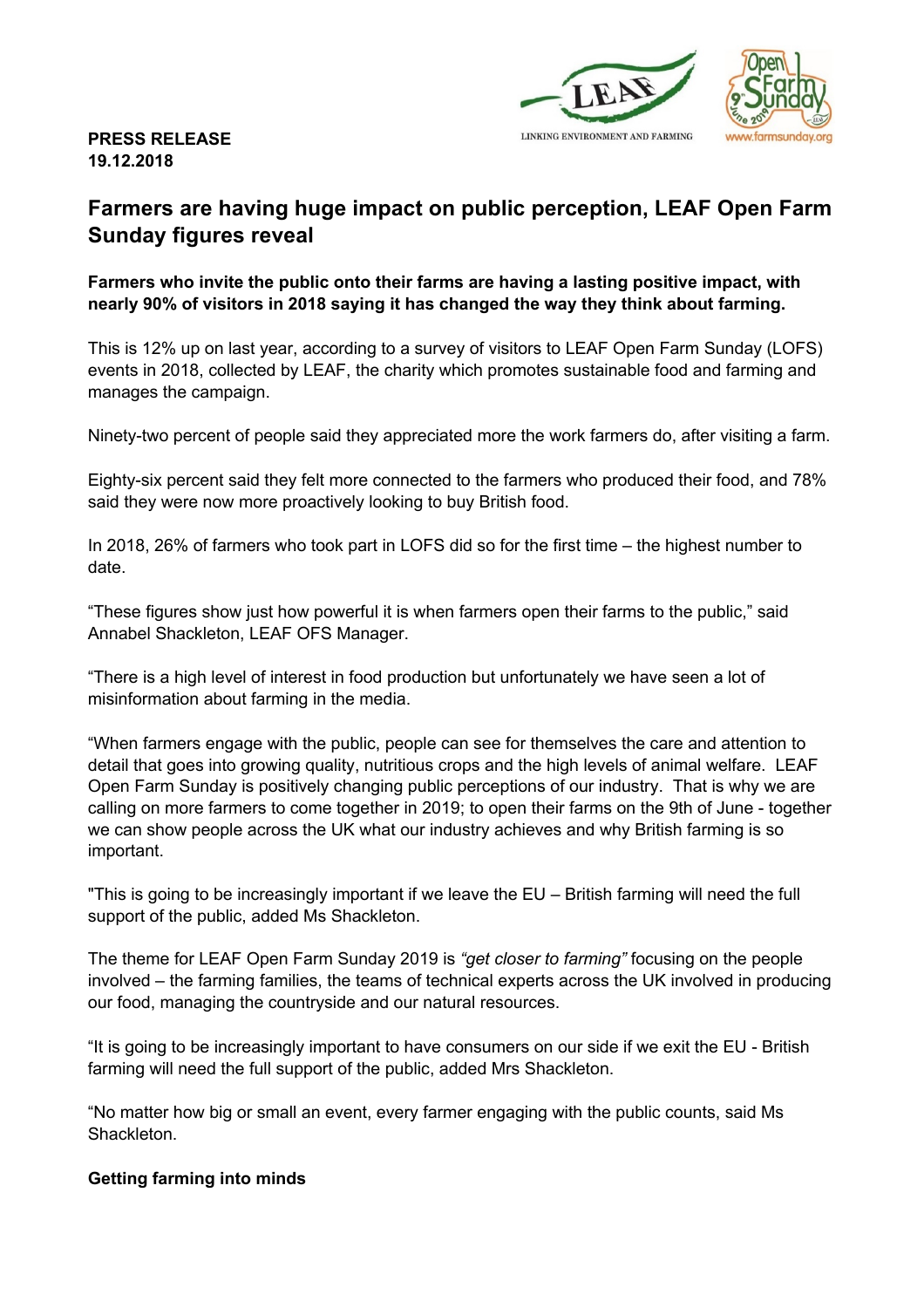



## **PRESS RELEASE 19.12.2018**

# **Farmers are having huge impact on public perception, LEAF Open Farm Sunday figures reveal**

**Farmers who invite the public onto their farms are having a lasting positive impact, with nearly 90% of visitors in 2018 saying it has changed the way they think about farming.**

This is 12% up on last year, according to a survey of visitors to LEAF Open Farm Sunday (LOFS) events in 2018, collected by LEAF, the charity which promotes sustainable food and farming and manages the campaign.

Ninety-two percent of people said they appreciated more the work farmers do, after visiting a farm.

Eighty-six percent said they felt more connected to the farmers who produced their food, and 78% said they were now more proactively looking to buy British food.

In 2018, 26% of farmers who took part in LOFS did so for the first time – the highest number to date.

"These figures show just how powerful it is when farmers open their farms to the public," said Annabel Shackleton, LEAF OFS Manager.

"There is a high level of interest in food production but unfortunately we have seen a lot of misinformation about farming in the media.

"When farmers engage with the public, people can see for themselves the care and attention to detail that goes into growing quality, nutritious crops and the high levels of animal welfare. LEAF Open Farm Sunday is positively changing public perceptions of our industry. That is why we are calling on more farmers to come together in 2019; to open their farms on the 9th of June - together we can show people across the UK what our industry achieves and why British farming is so important.

"This is going to be increasingly important if we leave the EU – British farming will need the full support of the public, added Ms Shackleton.

The theme for LEAF Open Farm Sunday 2019 is *"get closer to farming"* focusing on the people involved – the farming families, the teams of technical experts across the UK involved in producing our food, managing the countryside and our natural resources.

"It is going to be increasingly important to have consumers on our side if we exit the EU - British farming will need the full support of the public, added Mrs Shackleton.

"No matter how big or small an event, every farmer engaging with the public counts, said Ms **Shackleton** 

#### **Getting farming into minds**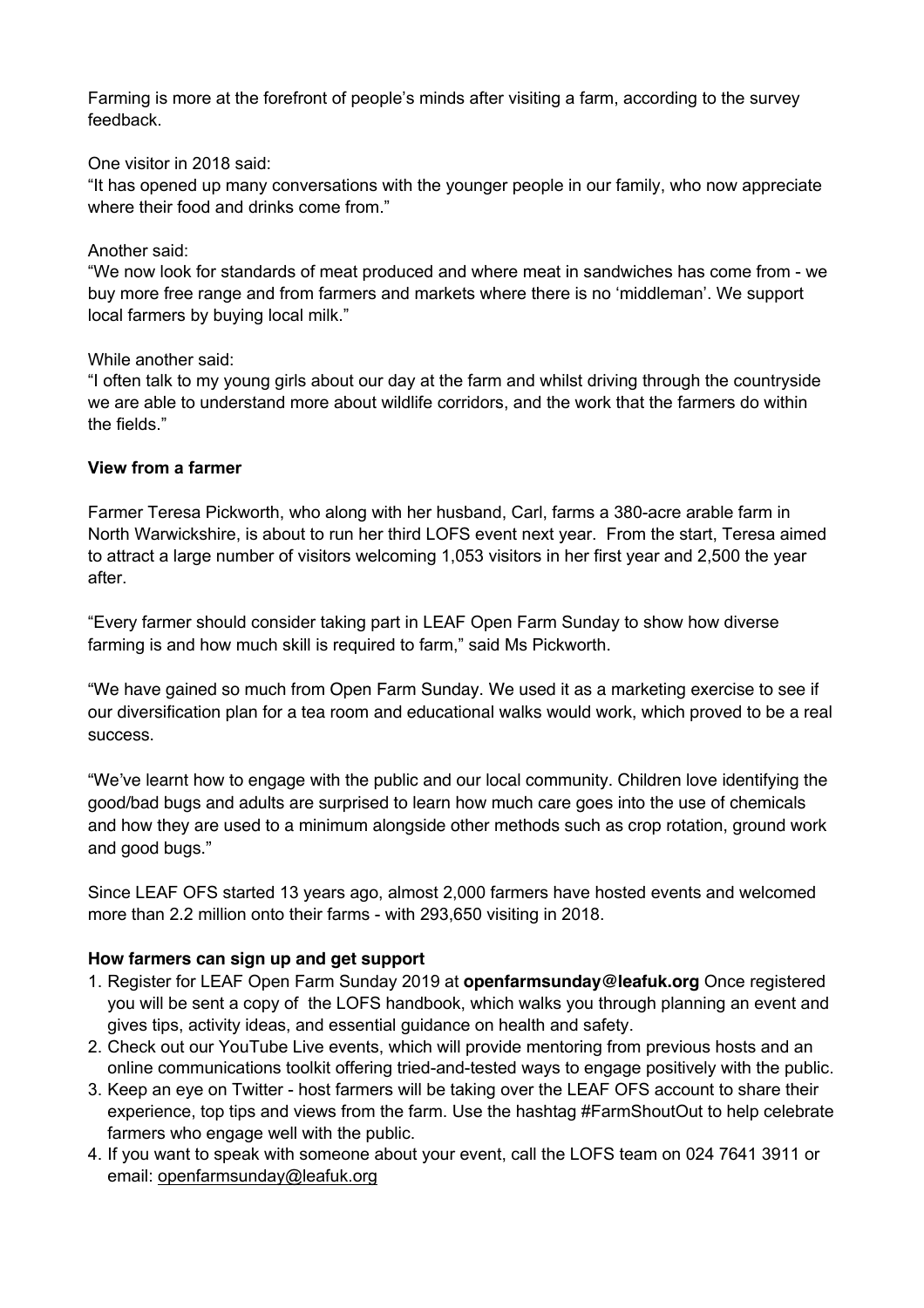Farming is more at the forefront of people's minds after visiting a farm, according to the survey feedback.

One visitor in 2018 said:

"It has opened up many conversations with the younger people in our family, who now appreciate where their food and drinks come from."

#### Another said:

"We now look for standards of meat produced and where meat in sandwiches has come from - we buy more free range and from farmers and markets where there is no 'middleman'. We support local farmers by buying local milk."

#### While another said:

"I often talk to my young girls about our day at the farm and whilst driving through the countryside we are able to understand more about wildlife corridors, and the work that the farmers do within the fields."

#### **View from a farmer**

Farmer Teresa Pickworth, who along with her husband, Carl, farms a 380-acre arable farm in North Warwickshire, is about to run her third LOFS event next year. From the start, Teresa aimed to attract a large number of visitors welcoming 1,053 visitors in her first year and 2,500 the year after.

"Every farmer should consider taking part in LEAF Open Farm Sunday to show how diverse farming is and how much skill is required to farm," said Ms Pickworth.

"We have gained so much from Open Farm Sunday. We used it as a marketing exercise to see if our diversification plan for a tea room and educational walks would work, which proved to be a real success.

"We've learnt how to engage with the public and our local community. Children love identifying the good/bad bugs and adults are surprised to learn how much care goes into the use of chemicals and how they are used to a minimum alongside other methods such as crop rotation, ground work and good bugs."

Since LEAF OFS started 13 years ago, almost 2,000 farmers have hosted events and welcomed more than 2.2 million onto their farms - with 293,650 visiting in 2018.

#### **How farmers can sign up and get support**

- 1. Register for LEAF Open Farm Sunday 2019 at **openfarmsunday@leafuk.org** Once registered you will be sent a copy of the LOFS handbook, which walks you through planning an event and gives tips, activity ideas, and essential guidance on health and safety.
- 2. Check out our YouTube Live events, which will provide mentoring from previous hosts and an online communications toolkit offering tried-and-tested ways to engage positively with the public.
- 3. Keep an eye on Twitter host farmers will be taking over the LEAF OFS account to share their experience, top tips and views from the farm. Use the hashtag #FarmShoutOut to help celebrate farmers who engage well with the public.
- 4. If you want to speak with someone about your event, call the LOFS team on 024 7641 3911 or email: openfarmsunday@leafuk.org